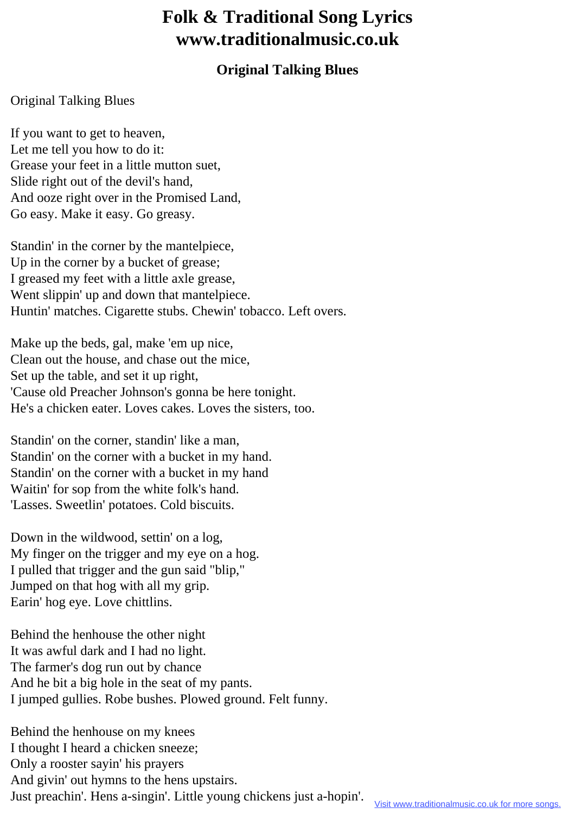## **Folk & Traditional Song Lyrics www.traditionalmusic.co.uk**

## **Original Talking Blues**

## Original Talking Blues

If you want to get to heaven, Let me tell you how to do it: Grease your feet in a little mutton suet, Slide right out of the devil's hand, And ooze right over in the Promised Land, Go easy. Make it easy. Go greasy.

Standin' in the corner by the mantelpiece, Up in the corner by a bucket of grease; I greased my feet with a little axle grease, Went slippin' up and down that mantelpiece. Huntin' matches. Cigarette stubs. Chewin' tobacco. Left overs.

Make up the beds, gal, make 'em up nice, Clean out the house, and chase out the mice, Set up the table, and set it up right, 'Cause old Preacher Johnson's gonna be here tonight. He's a chicken eater. Loves cakes. Loves the sisters, too.

Standin' on the corner, standin' like a man, Standin' on the corner with a bucket in my hand. Standin' on the corner with a bucket in my hand Waitin' for sop from the white folk's hand. 'Lasses. Sweetlin' potatoes. Cold biscuits.

Down in the wildwood, settin' on a log, My finger on the trigger and my eye on a hog. I pulled that trigger and the gun said "blip," Jumped on that hog with all my grip. Earin' hog eye. Love chittlins.

Behind the henhouse the other night It was awful dark and I had no light. The farmer's dog run out by chance And he bit a big hole in the seat of my pants. I jumped gullies. Robe bushes. Plowed ground. Felt funny.

Behind the henhouse on my knees I thought I heard a chicken sneeze; Only a rooster sayin' his prayers And givin' out hymns to the hens upstairs. Just preachin'. Hens a-singin'. Little young chickens just a-hopin'.